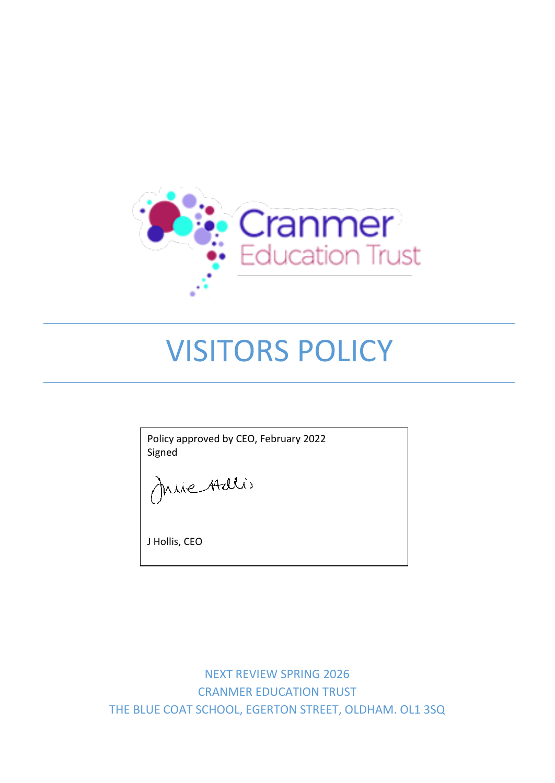

# VISITORS POLICY

Policy approved by CEO, February 2022 Signed

Juie Adlis

J Hollis, CEO

NEXT REVIEW SPRING 2026 CRANMER EDUCATION TRUST THE BLUE COAT SCHOOL, EGERTON STREET, OLDHAM. OL1 3SQ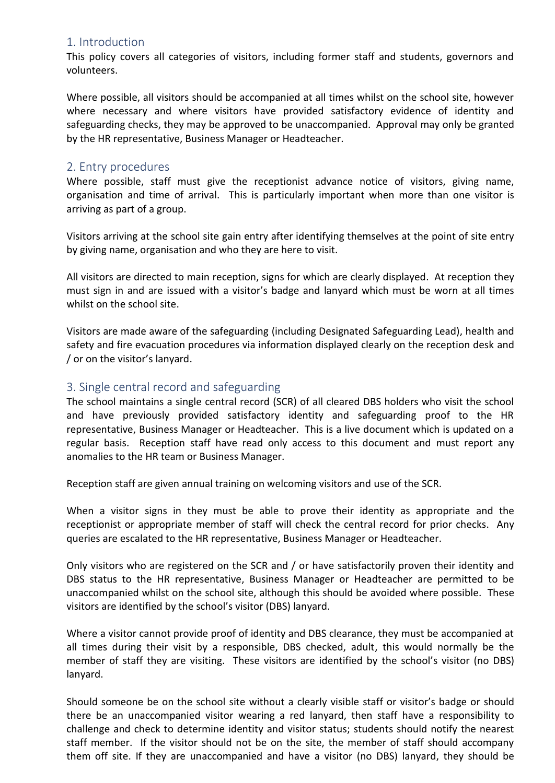#### 1. Introduction

This policy covers all categories of visitors, including former staff and students, governors and volunteers.

Where possible, all visitors should be accompanied at all times whilst on the school site, however where necessary and where visitors have provided satisfactory evidence of identity and safeguarding checks, they may be approved to be unaccompanied. Approval may only be granted by the HR representative, Business Manager or Headteacher.

#### 2. Entry procedures

Where possible, staff must give the receptionist advance notice of visitors, giving name, organisation and time of arrival. This is particularly important when more than one visitor is arriving as part of a group.

Visitors arriving at the school site gain entry after identifying themselves at the point of site entry by giving name, organisation and who they are here to visit.

All visitors are directed to main reception, signs for which are clearly displayed. At reception they must sign in and are issued with a visitor's badge and lanyard which must be worn at all times whilst on the school site.

Visitors are made aware of the safeguarding (including Designated Safeguarding Lead), health and safety and fire evacuation procedures via information displayed clearly on the reception desk and / or on the visitor's lanyard.

#### 3. Single central record and safeguarding

The school maintains a single central record (SCR) of all cleared DBS holders who visit the school and have previously provided satisfactory identity and safeguarding proof to the HR representative, Business Manager or Headteacher. This is a live document which is updated on a regular basis. Reception staff have read only access to this document and must report any anomalies to the HR team or Business Manager.

Reception staff are given annual training on welcoming visitors and use of the SCR.

When a visitor signs in they must be able to prove their identity as appropriate and the receptionist or appropriate member of staff will check the central record for prior checks. Any queries are escalated to the HR representative, Business Manager or Headteacher.

Only visitors who are registered on the SCR and / or have satisfactorily proven their identity and DBS status to the HR representative, Business Manager or Headteacher are permitted to be unaccompanied whilst on the school site, although this should be avoided where possible. These visitors are identified by the school's visitor (DBS) lanyard.

Where a visitor cannot provide proof of identity and DBS clearance, they must be accompanied at all times during their visit by a responsible, DBS checked, adult, this would normally be the member of staff they are visiting. These visitors are identified by the school's visitor (no DBS) lanyard.

Should someone be on the school site without a clearly visible staff or visitor's badge or should there be an unaccompanied visitor wearing a red lanyard, then staff have a responsibility to challenge and check to determine identity and visitor status; students should notify the nearest staff member. If the visitor should not be on the site, the member of staff should accompany them off site. If they are unaccompanied and have a visitor (no DBS) lanyard, they should be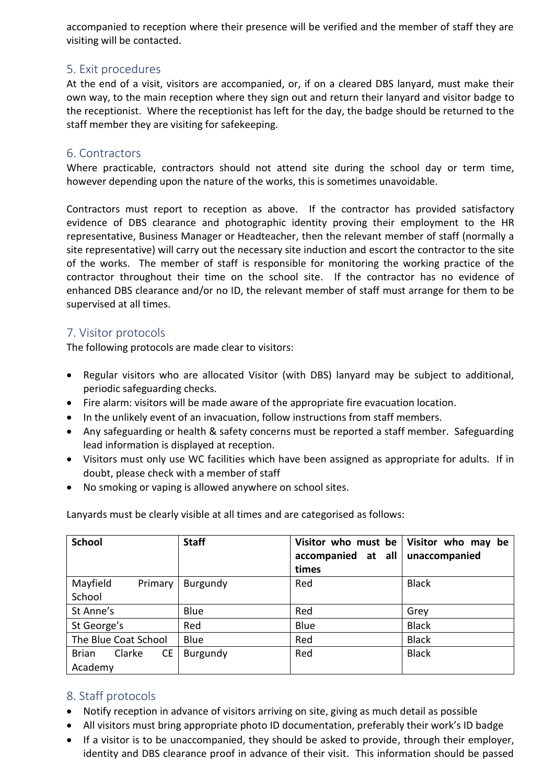accompanied to reception where their presence will be verified and the member of staff they are visiting will be contacted.

## 5. Exit procedures

At the end of a visit, visitors are accompanied, or, if on a cleared DBS lanyard, must make their own way, to the main reception where they sign out and return their lanyard and visitor badge to the receptionist. Where the receptionist has left for the day, the badge should be returned to the staff member they are visiting for safekeeping.

### 6. Contractors

Where practicable, contractors should not attend site during the school day or term time, however depending upon the nature of the works, this is sometimes unavoidable.

Contractors must report to reception as above. If the contractor has provided satisfactory evidence of DBS clearance and photographic identity proving their employment to the HR representative, Business Manager or Headteacher, then the relevant member of staff (normally a site representative) will carry out the necessary site induction and escort the contractor to the site of the works. The member of staff is responsible for monitoring the working practice of the contractor throughout their time on the school site. If the contractor has no evidence of enhanced DBS clearance and/or no ID, the relevant member of staff must arrange for them to be supervised at all times.

## 7. Visitor protocols

The following protocols are made clear to visitors:

- Regular visitors who are allocated Visitor (with DBS) lanyard may be subject to additional, periodic safeguarding checks.
- Fire alarm: visitors will be made aware of the appropriate fire evacuation location.
- In the unlikely event of an invacuation, follow instructions from staff members.
- Any safeguarding or health & safety concerns must be reported a staff member. Safeguarding lead information is displayed at reception.
- Visitors must only use WC facilities which have been assigned as appropriate for adults. If in doubt, please check with a member of staff
- No smoking or vaping is allowed anywhere on school sites.

Lanyards must be clearly visible at all times and are categorised as follows:

| <b>School</b>                                  | <b>Staff</b> | Visitor who must be<br>accompanied at all<br>times | Visitor who may be<br>unaccompanied |
|------------------------------------------------|--------------|----------------------------------------------------|-------------------------------------|
| Mayfield<br>Primary<br>School                  | Burgundy     | Red                                                | <b>Black</b>                        |
| St Anne's                                      | Blue         | Red                                                | Grey                                |
| St George's                                    | Red          | Blue                                               | <b>Black</b>                        |
| The Blue Coat School                           | Blue         | Red                                                | <b>Black</b>                        |
| Clarke<br><b>CE</b><br><b>Brian</b><br>Academy | Burgundy     | Red                                                | <b>Black</b>                        |

# 8. Staff protocols

- Notify reception in advance of visitors arriving on site, giving as much detail as possible
- All visitors must bring appropriate photo ID documentation, preferably their work's ID badge
- If a visitor is to be unaccompanied, they should be asked to provide, through their employer, identity and DBS clearance proof in advance of their visit. This information should be passed